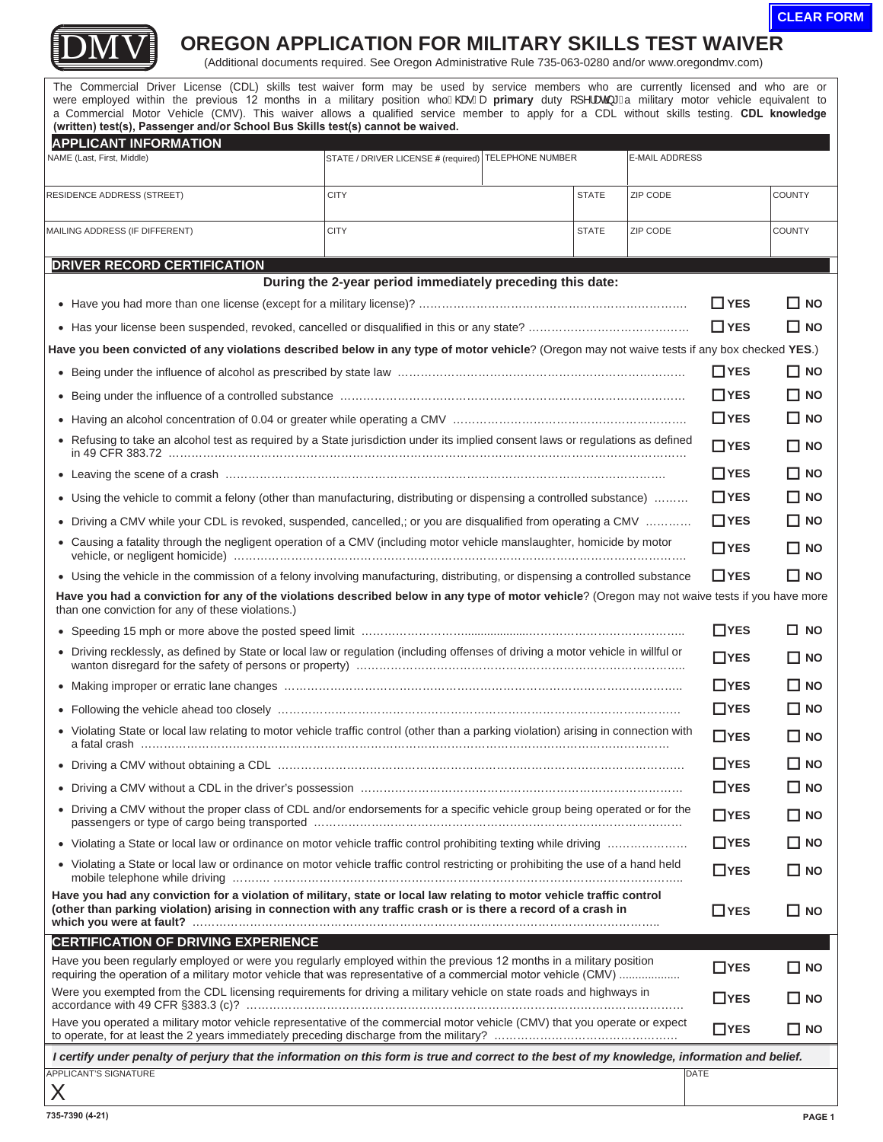



## **DMV** OREGON APPLICATION FOR MILITARY SKILLS TEST WAIVER (Additional documents required. See Oregon Administrative Rule 735-063-0280 and/or www.oregondmv.com)

Have you been regularly employed or were you regularly employed within the previous 12 months in a military position were employed within the previous 12 months in a military position whoA@eAæprimary duty []^læa}\*Aa military motor vehicle equivalent to The Commercial Driver License (CDL) skills test waiver form may be used by service members who are currently licensed and who are or a Commercial Motor Vehicle (CMV). This waiver allows a qualified service member to apply for a CDL without skills testing. **CDL knowledge (written) test(s), Passenger and/or School Bus Skills test(s) cannot be waived. APPLICANT INFORMATION**  NAME (Last, First, Middle) STATE / DRIVER LICENSE # (required) TELEPHONE NUMBER E-MAIL ADDRESS RESIDENCE ADDRESS (STREET) CITY STATE ZIP CODE COUNTY MAILING ADDRESS (IF DIFFERENT) CITY STATE ZIP CODE COUNTY **DRIVER RECORD CERTIFICATION During the 2-year period immediately preceding this date:**  <sup>x</sup> Have you had more than one license (except for a military license)? ……………………………………………………………. **YES NO**  <sup>x</sup> Has your license been suspended, revoked, cancelled or disqualified in this or any state? …………………………………… **YES NO Have you been convicted of any violations described below in any type of motor vehicle**? (Oregon may not waive tests if any box checked **YES**.) <sup>x</sup> Being under the influence of alcohol as prescribed by state law ………………………………………………………………… **YES NO**  <sup>x</sup> Being under the influence of a controlled substance ……………………………………………………………………………… **YES NO**  <sup>x</sup> Having an alcohol concentration of 0.04 or greater while operating a CMV ……………………………………………………. **YES NO**  <sup>x</sup> Refusing to take an alcohol test as required by a State jurisdiction under its implied consent laws or regulations as defined **YES NO** in 49 CFR 383.72 ……………………………………………………………………………………………………………………… <sup>x</sup> Leaving the scene of a crash ……………………………………………………………………………………………………. **YES NO**  <sup>x</sup> Using the vehicle to commit a felony (other than manufacturing, distributing or dispensing a controlled substance) ……… **YES NO**  <sup>x</sup> Driving a CMV while your CDL is revoked, suspended, cancelled,; or you are disqualified from operating a CMV ………… **YES NO**  <sup>x</sup> Causing a fatality through the negligent operation of a CMV (including motor vehicle manslaughter, homicide by motor **YES NO** vehicle, or negligent homicide) ………………………………………………………………………………………………………. • Using the vehicle in the commission of a felony involving manufacturing, distributing, or dispensing a controlled substance ■YES **■**NO Have you had a conviction for any of the violations described below in any type of motor vehicle? (Oregon may not waive tests if you have more than one conviction for any of these violations.) <sup>x</sup> Speeding 15 mph or more above the posted speed limit ………………………....................………………………………….. **YES NO**  • Driving recklessly, as defined by State or local law or regulation (including offenses of driving a motor vehicle in willful or <br>wanton disregard for the safety of persons or property) .................................. <sup>x</sup> Making improper or erratic lane changes ………………………………………………………………………………………….. **YES NO**  <sup>x</sup> Following the vehicle ahead too closely …………………………………………………………………………………………… **YES NO**  <sup>x</sup> Violating State or local law relating to motor vehicle traffic control (other than a parking violation) arising in connection with **YES NO** a fatal crash ………………………………………………………………………………………………………………………… <sup>x</sup> Driving a CMV without obtaining a CDL ……………………………………………………………………………………………. **YES NO**  <sup>x</sup> Driving a CMV without a CDL in the driver's possession ………………………………………………………………………… **YES NO**  <sup>x</sup> Driving a CMV without the proper class of CDL and/or endorsements for a specific vehicle group being operated or for the **YES NO** passengers or type of cargo being transported …………………………………………………………………………………… <sup>x</sup> Violating a State or local law or ordinance on motor vehicle traffic control prohibiting texting while driving ………………… **YES NO**  <sup>x</sup> Violating a State or local law or ordinance on motor vehicle traffic control restricting or prohibiting the use of a hand held **YES NO** mobile telephone while driving ………. …………………………………………………………………………………………….. **Have you had any conviction for a violation of military, state or local law relating to motor vehicle traffic control (other than parking violation) arising in connection with any traffic crash or is there a record of a crash in**  $\Box$  **YES**  $\Box$  **NO which you were at fault?** ………………………………………………………………………………………………………….. **CERTIFICATION OF DRIVING EXPERIENCE**  Have you been regularly employed or were you regularly employed within the previous 12 months in a military position **YES NO** requiring the operation of a military motor vehicle that was representative of a commercial motor vehicle (CMV) ................... Were you exempted from the CDL licensing requirements for driving a military vehicle on state roads and highways in **YES NO** accordance with 49 CFR §383.3 (c)? …………………………………………………………………………………………………… Have you operated a military motor vehicle representative of the commercial motor vehicle (CMV) that you operate or expect  $\Box$ YES  $\Box$  NO to operate, for at least the 2 years immediately preceding discharge from the mili *I certify under penalty of perjury that the information on this form is true and correct to the best of my knowledge, information and belief.*  APPLICANT'S SIGNATURE X DATE